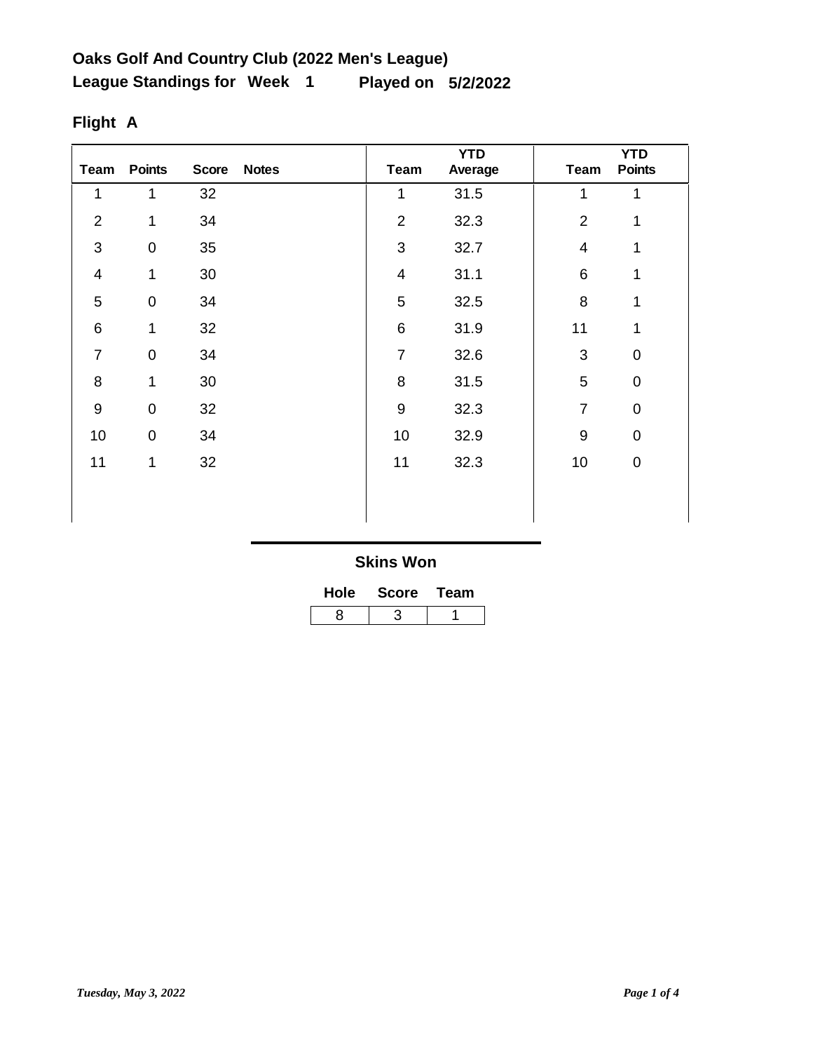| Team           | <b>Points</b>    | <b>Score</b> | <b>Notes</b> | <b>Team</b>             | <b>YTD</b><br>Average | <b>Team</b>              | <b>YTD</b><br><b>Points</b> |
|----------------|------------------|--------------|--------------|-------------------------|-----------------------|--------------------------|-----------------------------|
| 1              | 1                | 32           |              | 1                       | 31.5                  | 1                        | 1                           |
| $\overline{2}$ | 1                | 34           |              | $\overline{2}$          | 32.3                  | $\overline{2}$           | 1                           |
| 3              | $\boldsymbol{0}$ | 35           |              | 3                       | 32.7                  | $\overline{\mathcal{A}}$ | $\mathbf{1}$                |
| $\overline{4}$ | 1                | $30\,$       |              | $\overline{\mathbf{4}}$ | 31.1                  | 6                        | 1                           |
| 5              | $\pmb{0}$        | 34           |              | 5                       | 32.5                  | 8                        | 1                           |
| $\,6$          | 1                | 32           |              | $\,6$                   | 31.9                  | 11                       | 1                           |
| $\overline{7}$ | $\pmb{0}$        | 34           |              | $\overline{7}$          | 32.6                  | 3                        | $\mathbf 0$                 |
| 8              | $\mathbf 1$      | 30           |              | 8                       | 31.5                  | 5                        | $\mathbf 0$                 |
| $9\,$          | $\boldsymbol{0}$ | 32           |              | $\overline{9}$          | 32.3                  | $\overline{7}$           | $\mathbf 0$                 |
| 10             | $\pmb{0}$        | 34           |              | 10                      | 32.9                  | 9                        | $\mathbf 0$                 |
| 11             | 1                | 32           |              | 11                      | 32.3                  | 10                       | $\pmb{0}$                   |
|                |                  |              |              |                         |                       |                          |                             |
|                |                  |              |              |                         |                       |                          |                             |

# **Flight A**

| <b>Hole</b> | <b>Score</b> | Team |  |  |
|-------------|--------------|------|--|--|
| ឧ           |              |      |  |  |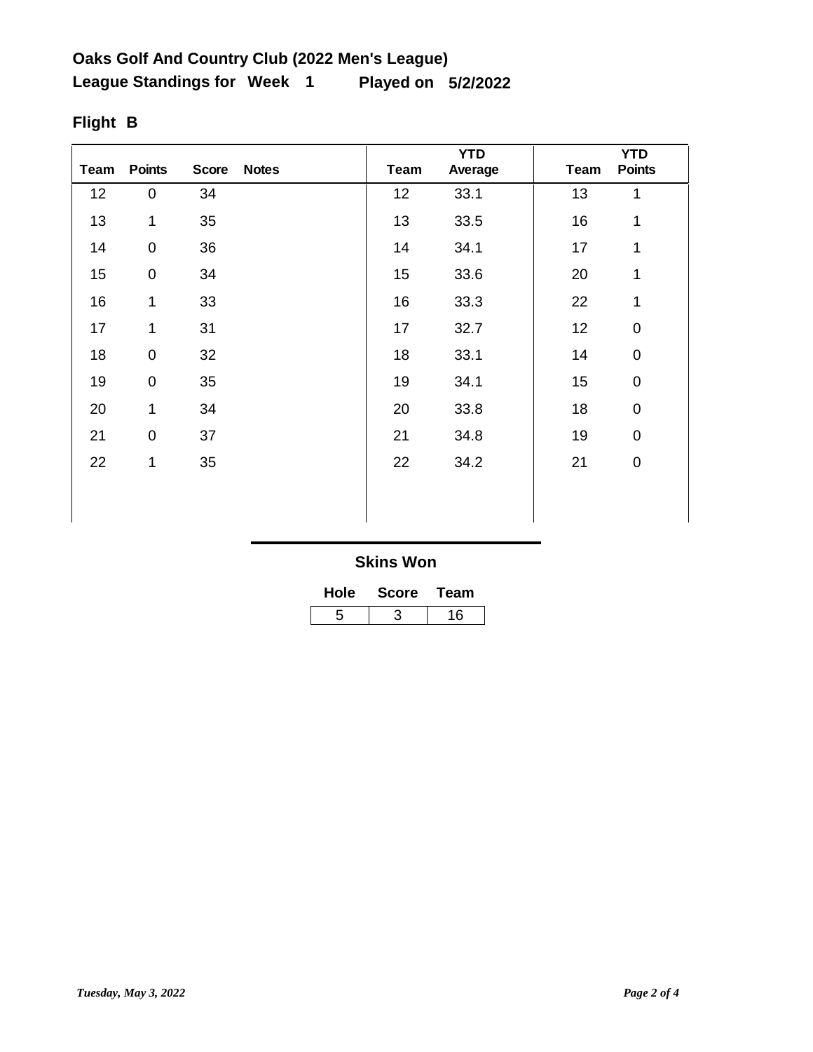| Team | <b>Points</b> | <b>Score</b> | <b>Notes</b> | <b>Team</b> | <b>YTD</b><br>Average | <b>Team</b> | <b>YTD</b><br><b>Points</b> |
|------|---------------|--------------|--------------|-------------|-----------------------|-------------|-----------------------------|
| 12   | $\pmb{0}$     | 34           |              | 12          | 33.1                  | 13          | $\mathbf{1}$                |
| 13   | 1             | 35           |              | 13          | 33.5                  | 16          | 1                           |
| 14   | $\pmb{0}$     | 36           |              | 14          | 34.1                  | 17          | $\mathbf{1}$                |
| 15   | $\mathsf 0$   | 34           |              | 15          | 33.6                  | 20          | 1                           |
| 16   | 1             | 33           |              | 16          | 33.3                  | 22          | 1                           |
| 17   | 1             | 31           |              | 17          | 32.7                  | 12          | $\pmb{0}$                   |
| 18   | $\pmb{0}$     | 32           |              | 18          | 33.1                  | 14          | $\pmb{0}$                   |
| 19   | $\pmb{0}$     | 35           |              | 19          | 34.1                  | 15          | $\pmb{0}$                   |
| 20   | 1             | 34           |              | 20          | 33.8                  | 18          | 0                           |
| 21   | $\pmb{0}$     | 37           |              | 21          | 34.8                  | 19          | $\mathbf 0$                 |
| 22   | 1             | 35           |              | 22          | 34.2                  | 21          | $\pmb{0}$                   |
|      |               |              |              |             |                       |             |                             |
|      |               |              |              |             |                       |             |                             |

# **Flight B**

| Hole | <b>Score</b> | Team |  |  |
|------|--------------|------|--|--|
| 5    |              | 16   |  |  |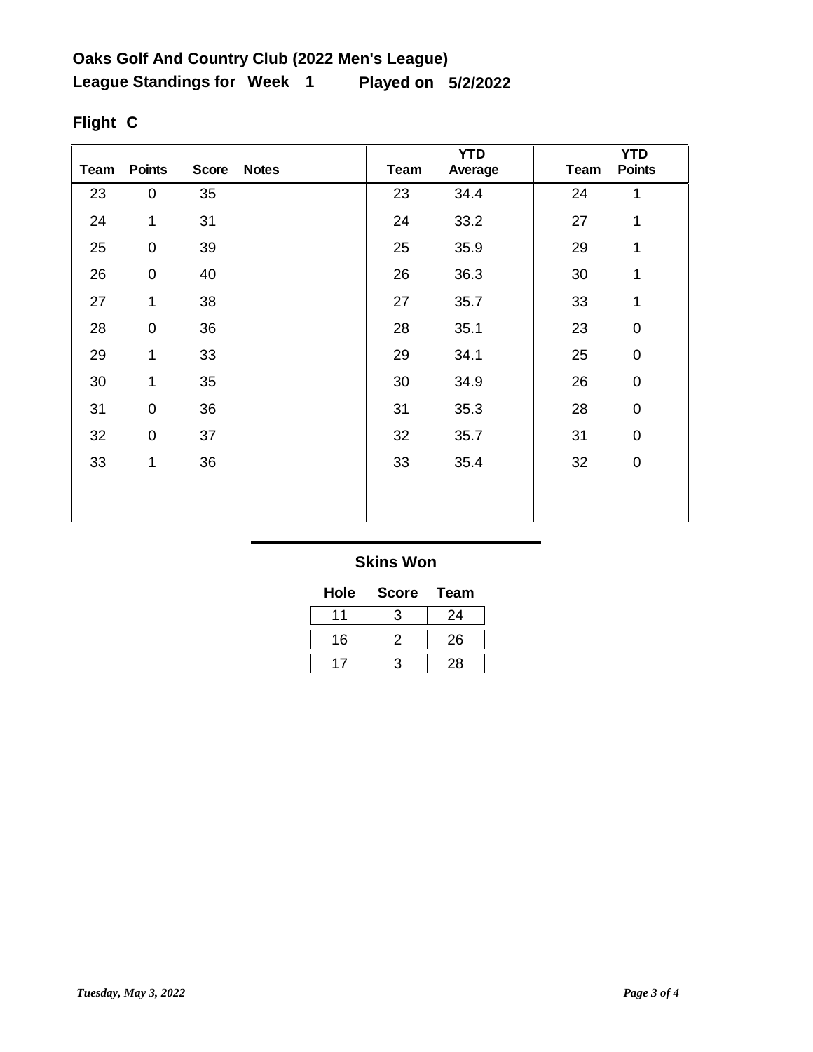| <b>Team</b> | <b>Points</b>       | <b>Score</b> | <b>Notes</b> | <b>Team</b> | <b>YTD</b><br>Average | <b>Team</b> | <b>YTD</b><br><b>Points</b> |
|-------------|---------------------|--------------|--------------|-------------|-----------------------|-------------|-----------------------------|
| 23          | $\pmb{0}$           | 35           |              | 23          | 34.4                  | 24          | 1                           |
| 24          | 1                   | 31           |              | 24          | 33.2                  | 27          | 1                           |
| 25          | $\pmb{0}$           | 39           |              | 25          | 35.9                  | 29          | 1                           |
| 26          | $\pmb{0}$           | 40           |              | 26          | 36.3                  | 30          | 1                           |
| 27          | 1                   | 38           |              | 27          | 35.7                  | 33          | 1                           |
| 28          | $\mathsf 0$         | 36           |              | 28          | 35.1                  | 23          | $\mathbf 0$                 |
| 29          | 1                   | 33           |              | 29          | 34.1                  | 25          | $\boldsymbol{0}$            |
| 30          | 1                   | 35           |              | 30          | 34.9                  | 26          | $\mathbf 0$                 |
| 31          | 0                   | 36           |              | 31          | 35.3                  | 28          | $\mathbf 0$                 |
| 32          | $\mathsf{O}\xspace$ | 37           |              | 32          | 35.7                  | 31          | $\mathbf 0$                 |
| 33          | 1                   | 36           |              | 33          | 35.4                  | 32          | $\mathbf 0$                 |
|             |                     |              |              |             |                       |             |                             |
|             |                     |              |              |             |                       |             |                             |

# **Flight C**

#### **Skins Won**

| Hole | <b>Score</b> | Team |
|------|--------------|------|
|      | З            | 24   |
| 16   | -2.          | 26   |
|      | -2           | 28   |